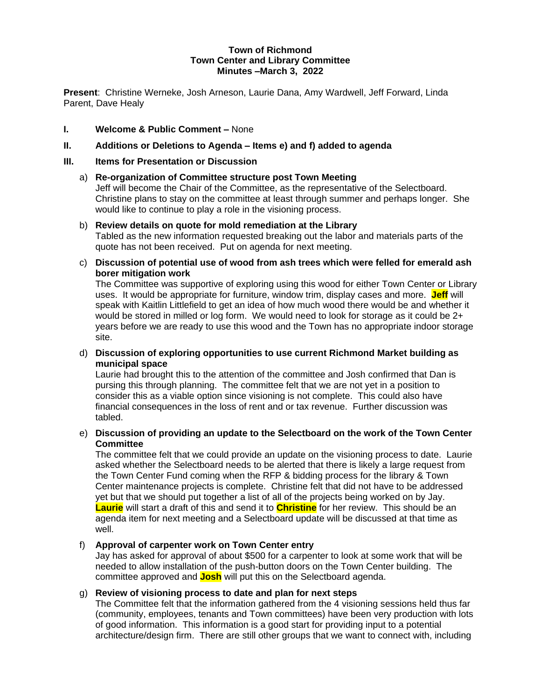#### **Town of Richmond Town Center and Library Committee Minutes –March 3, 2022**

**Present**: Christine Werneke, Josh Arneson, Laurie Dana, Amy Wardwell, Jeff Forward, Linda Parent, Dave Healy

## **I. Welcome & Public Comment –** None

## **II. Additions or Deletions to Agenda – Items e) and f) added to agenda**

### **III. Items for Presentation or Discussion**

### a) **Re-organization of Committee structure post Town Meeting**

Jeff will become the Chair of the Committee, as the representative of the Selectboard. Christine plans to stay on the committee at least through summer and perhaps longer. She would like to continue to play a role in the visioning process.

## b) **Review details on quote for mold remediation at the Library** Tabled as the new information requested breaking out the labor and materials parts of the

quote has not been received. Put on agenda for next meeting.

c) **Discussion of potential use of wood from ash trees which were felled for emerald ash borer mitigation work**

The Committee was supportive of exploring using this wood for either Town Center or Library uses. It would be appropriate for furniture, window trim, display cases and more. **Jeff** will speak with Kaitlin Littlefield to get an idea of how much wood there would be and whether it would be stored in milled or log form. We would need to look for storage as it could be 2+ years before we are ready to use this wood and the Town has no appropriate indoor storage site.

d) **Discussion of exploring opportunities to use current Richmond Market building as municipal space**

Laurie had brought this to the attention of the committee and Josh confirmed that Dan is pursing this through planning. The committee felt that we are not yet in a position to consider this as a viable option since visioning is not complete. This could also have financial consequences in the loss of rent and or tax revenue. Further discussion was tabled.

## e) **Discussion of providing an update to the Selectboard on the work of the Town Center Committee**

The committee felt that we could provide an update on the visioning process to date. Laurie asked whether the Selectboard needs to be alerted that there is likely a large request from the Town Center Fund coming when the RFP & bidding process for the library & Town Center maintenance projects is complete. Christine felt that did not have to be addressed yet but that we should put together a list of all of the projects being worked on by Jay. **Laurie** will start a draft of this and send it to **Christine** for her review. This should be an agenda item for next meeting and a Selectboard update will be discussed at that time as well.

# f) **Approval of carpenter work on Town Center entry**

Jay has asked for approval of about \$500 for a carpenter to look at some work that will be needed to allow installation of the push-button doors on the Town Center building. The committee approved and **Josh** will put this on the Selectboard agenda.

### g) **Review of visioning process to date and plan for next steps**

The Committee felt that the information gathered from the 4 visioning sessions held thus far (community, employees, tenants and Town committees) have been very production with lots of good information. This information is a good start for providing input to a potential architecture/design firm. There are still other groups that we want to connect with, including